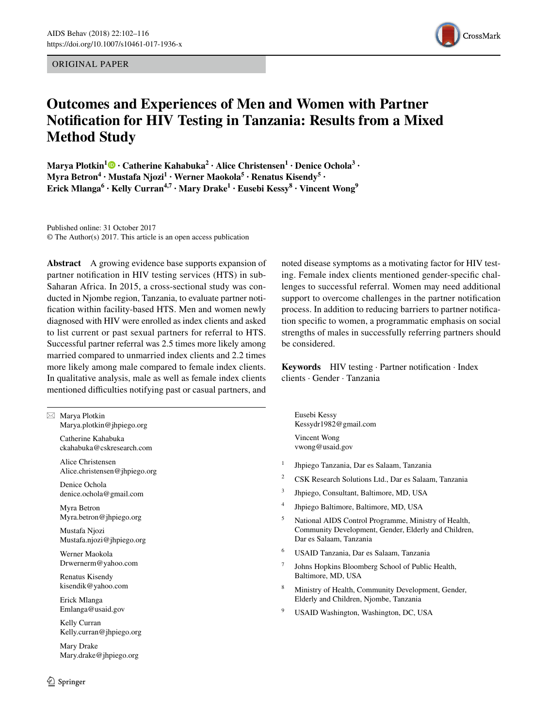ORIGINAL PAPER



# **Outcomes and Experiences of Men and Women with Partner Notifcation for HIV Testing in Tanzania: Results from a Mixed Method Study**

**MaryaPlotkin<sup>1</sup>**  $\bullet$  **· Catherine Kahabuka<sup>2</sup> · Alice Christensen<sup>1</sup> · Denice Ochola<sup>3</sup> ·**  $M$ yra Betron $\mathbf{^4} \cdot \text{Mustafa Njozi} \cdot \text{Werner Maokola} \cdot \text{Renatus Kisendy} \cdot \cdot$ **Erick Mlanga<sup>6</sup> · Kelly Curran4,7 · Mary Drake1 · Eusebi Kessy8 · Vincent Wong9**

Published online: 31 October 2017 © The Author(s) 2017. This article is an open access publication

**Abstract** A growing evidence base supports expansion of partner notifcation in HIV testing services (HTS) in sub-Saharan Africa. In 2015, a cross-sectional study was conducted in Njombe region, Tanzania, to evaluate partner notifcation within facility-based HTS. Men and women newly diagnosed with HIV were enrolled as index clients and asked to list current or past sexual partners for referral to HTS. Successful partner referral was 2.5 times more likely among married compared to unmarried index clients and 2.2 times more likely among male compared to female index clients. In qualitative analysis, male as well as female index clients mentioned difficulties notifying past or casual partners, and

 $\boxtimes$  Marya Plotkin Marya.plotkin@jhpiego.org Catherine Kahabuka ckahabuka@cskresearch.com

> Alice Christensen Alice.christensen@jhpiego.org

Denice Ochola denice.ochola@gmail.com

Myra Betron Myra.betron@jhpiego.org

Mustafa Njozi Mustafa.njozi@jhpiego.org

Werner Maokola Drwernerm@yahoo.com

Renatus Kisendy kisendik@yahoo.com

Erick Mlanga Emlanga@usaid.gov

Kelly Curran Kelly.curran@jhpiego.org

Mary Drake Mary.drake@jhpiego.org

 $\circled{2}$  Springer

noted disease symptoms as a motivating factor for HIV testing. Female index clients mentioned gender-specifc challenges to successful referral. Women may need additional support to overcome challenges in the partner notifcation process. In addition to reducing barriers to partner notifcation specifc to women, a programmatic emphasis on social strengths of males in successfully referring partners should be considered.

**Keywords** HIV testing · Partner notifcation · Index clients · Gender · Tanzania

Eusebi Kessy Kessydr1982@gmail.com Vincent Wong vwong@usaid.gov

- <sup>1</sup> Jhpiego Tanzania, Dar es Salaam, Tanzania
- <sup>2</sup> CSK Research Solutions Ltd., Dar es Salaam, Tanzania
- <sup>3</sup> Jhpiego, Consultant, Baltimore, MD, USA
- <sup>4</sup> Jhpiego Baltimore, Baltimore, MD, USA
- <sup>5</sup> National AIDS Control Programme, Ministry of Health, Community Development, Gender, Elderly and Children, Dar es Salaam, Tanzania
- <sup>6</sup> USAID Tanzania, Dar es Salaam, Tanzania
- <sup>7</sup> Johns Hopkins Bloomberg School of Public Health, Baltimore, MD, USA
- <sup>8</sup> Ministry of Health, Community Development, Gender, Elderly and Children, Njombe, Tanzania
- <sup>9</sup> USAID Washington, Washington, DC, USA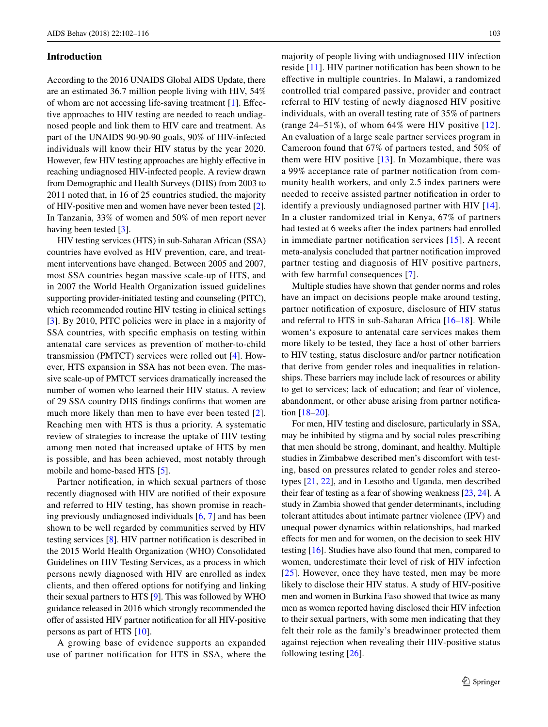### **Introduction**

According to the 2016 UNAIDS Global AIDS Update, there are an estimated 36.7 million people living with HIV, 54% of whom are not accessing life-saving treatment [[1](#page-14-0)]. Efective approaches to HIV testing are needed to reach undiagnosed people and link them to HIV care and treatment. As part of the UNAIDS 90-90-90 goals, 90% of HIV-infected individuals will know their HIV status by the year 2020. However, few HIV testing approaches are highly efective in reaching undiagnosed HIV-infected people. A review drawn from Demographic and Health Surveys (DHS) from 2003 to 2011 noted that, in 16 of 25 countries studied, the majority of HIV-positive men and women have never been tested [\[2](#page-14-1)]. In Tanzania, 33% of women and 50% of men report never having been tested [[3\]](#page-14-2).

HIV testing services (HTS) in sub-Saharan African (SSA) countries have evolved as HIV prevention, care, and treatment interventions have changed. Between 2005 and 2007, most SSA countries began massive scale-up of HTS, and in 2007 the World Health Organization issued guidelines supporting provider-initiated testing and counseling (PITC), which recommended routine HIV testing in clinical settings [\[3](#page-14-2)]. By 2010, PITC policies were in place in a majority of SSA countries, with specifc emphasis on testing within antenatal care services as prevention of mother-to-child transmission (PMTCT) services were rolled out [[4\]](#page-14-3). However, HTS expansion in SSA has not been even. The massive scale-up of PMTCT services dramatically increased the number of women who learned their HIV status. A review of 29 SSA country DHS fndings confrms that women are much more likely than men to have ever been tested [[2](#page-14-1)]. Reaching men with HTS is thus a priority. A systematic review of strategies to increase the uptake of HIV testing among men noted that increased uptake of HTS by men is possible, and has been achieved, most notably through mobile and home-based HTS [[5\]](#page-14-4).

Partner notifcation, in which sexual partners of those recently diagnosed with HIV are notifed of their exposure and referred to HIV testing, has shown promise in reaching previously undiagnosed individuals [[6,](#page-14-5) [7](#page-14-6)] and has been shown to be well regarded by communities served by HIV testing services [[8\]](#page-14-7). HIV partner notifcation is described in the 2015 World Health Organization (WHO) Consolidated Guidelines on HIV Testing Services, as a process in which persons newly diagnosed with HIV are enrolled as index clients, and then ofered options for notifying and linking their sexual partners to HTS [[9\]](#page-14-8). This was followed by WHO guidance released in 2016 which strongly recommended the offer of assisted HIV partner notification for all HIV-positive persons as part of HTS [\[10](#page-14-9)].

A growing base of evidence supports an expanded use of partner notifcation for HTS in SSA, where the majority of people living with undiagnosed HIV infection reside [[11\]](#page-14-10). HIV partner notifcation has been shown to be efective in multiple countries. In Malawi, a randomized controlled trial compared passive, provider and contract referral to HIV testing of newly diagnosed HIV positive individuals, with an overall testing rate of 35% of partners (range  $24-51\%$ ), of whom  $64\%$  were HIV positive [[12\]](#page-14-11). An evaluation of a large scale partner services program in Cameroon found that 67% of partners tested, and 50% of them were HIV positive  $[13]$ . In Mozambique, there was a 99% acceptance rate of partner notifcation from community health workers, and only 2.5 index partners were needed to receive assisted partner notifcation in order to identify a previously undiagnosed partner with HIV [[14](#page-14-13)]. In a cluster randomized trial in Kenya, 67% of partners had tested at 6 weeks after the index partners had enrolled in immediate partner notifcation services [[15](#page-14-14)]. A recent meta-analysis concluded that partner notifcation improved partner testing and diagnosis of HIV positive partners, with few harmful consequences [[7](#page-14-6)].

Multiple studies have shown that gender norms and roles have an impact on decisions people make around testing, partner notifcation of exposure, disclosure of HIV status and referral to HTS in sub-Saharan Africa [\[16](#page-14-15)–[18\]](#page-14-16). While women's exposure to antenatal care services makes them more likely to be tested, they face a host of other barriers to HIV testing, status disclosure and/or partner notifcation that derive from gender roles and inequalities in relationships. These barriers may include lack of resources or ability to get to services; lack of education; and fear of violence, abandonment, or other abuse arising from partner notifcation [[18–](#page-14-16)[20\]](#page-14-17).

For men, HIV testing and disclosure, particularly in SSA, may be inhibited by stigma and by social roles prescribing that men should be strong, dominant, and healthy. Multiple studies in Zimbabwe described men's discomfort with testing, based on pressures related to gender roles and stereotypes [[21,](#page-14-18) [22](#page-14-19)], and in Lesotho and Uganda, men described their fear of testing as a fear of showing weakness [[23,](#page-14-20) [24](#page-14-21)]. A study in Zambia showed that gender determinants, including tolerant attitudes about intimate partner violence (IPV) and unequal power dynamics within relationships, had marked efects for men and for women, on the decision to seek HIV testing [[16\]](#page-14-15). Studies have also found that men, compared to women, underestimate their level of risk of HIV infection [[25\]](#page-14-22). However, once they have tested, men may be more likely to disclose their HIV status. A study of HIV-positive men and women in Burkina Faso showed that twice as many men as women reported having disclosed their HIV infection to their sexual partners, with some men indicating that they felt their role as the family's breadwinner protected them against rejection when revealing their HIV-positive status following testing [\[26](#page-14-23)].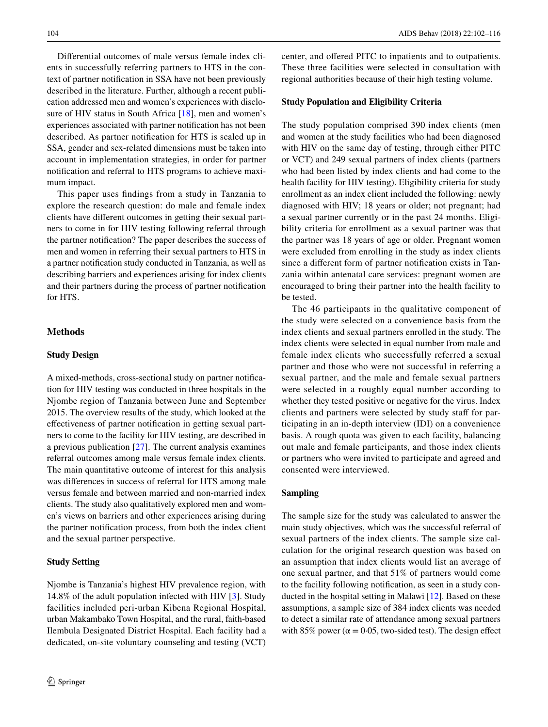Diferential outcomes of male versus female index clients in successfully referring partners to HTS in the context of partner notifcation in SSA have not been previously described in the literature. Further, although a recent publication addressed men and women's experiences with disclo-sure of HIV status in South Africa [\[18](#page-14-16)], men and women's experiences associated with partner notifcation has not been described. As partner notifcation for HTS is scaled up in SSA, gender and sex-related dimensions must be taken into account in implementation strategies, in order for partner notifcation and referral to HTS programs to achieve maximum impact.

This paper uses fndings from a study in Tanzania to explore the research question: do male and female index clients have diferent outcomes in getting their sexual partners to come in for HIV testing following referral through the partner notifcation? The paper describes the success of men and women in referring their sexual partners to HTS in a partner notifcation study conducted in Tanzania, as well as describing barriers and experiences arising for index clients and their partners during the process of partner notifcation for HTS.

# **Methods**

# **Study Design**

A mixed-methods, cross-sectional study on partner notifcation for HIV testing was conducted in three hospitals in the Njombe region of Tanzania between June and September 2015. The overview results of the study, which looked at the efectiveness of partner notifcation in getting sexual partners to come to the facility for HIV testing, are described in a previous publication [\[27](#page-14-24)]. The current analysis examines referral outcomes among male versus female index clients. The main quantitative outcome of interest for this analysis was diferences in success of referral for HTS among male versus female and between married and non-married index clients. The study also qualitatively explored men and women's views on barriers and other experiences arising during the partner notifcation process, from both the index client and the sexual partner perspective.

### **Study Setting**

Njombe is Tanzania's highest HIV prevalence region, with 14.8% of the adult population infected with HIV [\[3](#page-14-2)]. Study facilities included peri-urban Kibena Regional Hospital, urban Makambako Town Hospital, and the rural, faith-based Ilembula Designated District Hospital. Each facility had a dedicated, on-site voluntary counseling and testing (VCT) center, and ofered PITC to inpatients and to outpatients. These three facilities were selected in consultation with regional authorities because of their high testing volume.

### **Study Population and Eligibility Criteria**

The study population comprised 390 index clients (men and women at the study facilities who had been diagnosed with HIV on the same day of testing, through either PITC or VCT) and 249 sexual partners of index clients (partners who had been listed by index clients and had come to the health facility for HIV testing). Eligibility criteria for study enrollment as an index client included the following: newly diagnosed with HIV; 18 years or older; not pregnant; had a sexual partner currently or in the past 24 months. Eligibility criteria for enrollment as a sexual partner was that the partner was 18 years of age or older. Pregnant women were excluded from enrolling in the study as index clients since a diferent form of partner notifcation exists in Tanzania within antenatal care services: pregnant women are encouraged to bring their partner into the health facility to be tested.

The 46 participants in the qualitative component of the study were selected on a convenience basis from the index clients and sexual partners enrolled in the study. The index clients were selected in equal number from male and female index clients who successfully referred a sexual partner and those who were not successful in referring a sexual partner, and the male and female sexual partners were selected in a roughly equal number according to whether they tested positive or negative for the virus. Index clients and partners were selected by study staff for participating in an in-depth interview (IDI) on a convenience basis. A rough quota was given to each facility, balancing out male and female participants, and those index clients or partners who were invited to participate and agreed and consented were interviewed.

### **Sampling**

The sample size for the study was calculated to answer the main study objectives, which was the successful referral of sexual partners of the index clients. The sample size calculation for the original research question was based on an assumption that index clients would list an average of one sexual partner, and that 51% of partners would come to the facility following notifcation, as seen in a study conducted in the hospital setting in Malawi [\[12\]](#page-14-11). Based on these assumptions, a sample size of 384 index clients was needed to detect a similar rate of attendance among sexual partners with 85% power ( $\alpha$  = 0.05, two-sided test). The design effect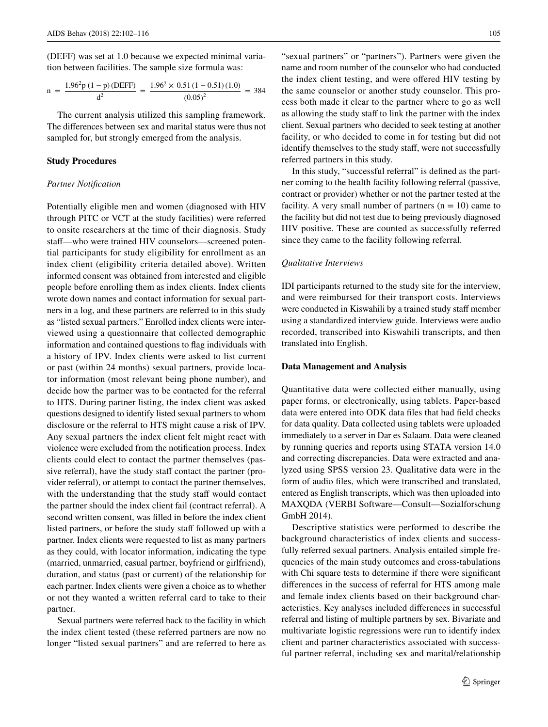(DEFF) was set at 1.0 because we expected minimal variation between facilities. The sample size formula was:

$$
n = \frac{1.96^2 p (1 - p) (DEFF)}{d^2} = \frac{1.96^2 \times 0.51 (1 - 0.51) (1.0)}{(0.05)^2} = 384
$$

The current analysis utilized this sampling framework. The diferences between sex and marital status were thus not sampled for, but strongly emerged from the analysis.

### **Study Procedures**

### *Partner Notifcation*

Potentially eligible men and women (diagnosed with HIV through PITC or VCT at the study facilities) were referred to onsite researchers at the time of their diagnosis. Study staf—who were trained HIV counselors—screened potential participants for study eligibility for enrollment as an index client (eligibility criteria detailed above). Written informed consent was obtained from interested and eligible people before enrolling them as index clients. Index clients wrote down names and contact information for sexual partners in a log, and these partners are referred to in this study as "listed sexual partners." Enrolled index clients were interviewed using a questionnaire that collected demographic information and contained questions to fag individuals with a history of IPV. Index clients were asked to list current or past (within 24 months) sexual partners, provide locator information (most relevant being phone number), and decide how the partner was to be contacted for the referral to HTS. During partner listing, the index client was asked questions designed to identify listed sexual partners to whom disclosure or the referral to HTS might cause a risk of IPV. Any sexual partners the index client felt might react with violence were excluded from the notifcation process. Index clients could elect to contact the partner themselves (passive referral), have the study staff contact the partner (provider referral), or attempt to contact the partner themselves, with the understanding that the study staff would contact the partner should the index client fail (contract referral). A second written consent, was flled in before the index client listed partners, or before the study staff followed up with a partner. Index clients were requested to list as many partners as they could, with locator information, indicating the type (married, unmarried, casual partner, boyfriend or girlfriend), duration, and status (past or current) of the relationship for each partner. Index clients were given a choice as to whether or not they wanted a written referral card to take to their partner.

Sexual partners were referred back to the facility in which the index client tested (these referred partners are now no longer "listed sexual partners" and are referred to here as

"sexual partners" or "partners"). Partners were given the name and room number of the counselor who had conducted the index client testing, and were ofered HIV testing by the same counselor or another study counselor. This process both made it clear to the partner where to go as well as allowing the study staff to link the partner with the index client. Sexual partners who decided to seek testing at another facility, or who decided to come in for testing but did not identify themselves to the study staff, were not successfully referred partners in this study.

In this study, "successful referral" is defned as the partner coming to the health facility following referral (passive, contract or provider) whether or not the partner tested at the facility. A very small number of partners  $(n = 10)$  came to the facility but did not test due to being previously diagnosed HIV positive. These are counted as successfully referred since they came to the facility following referral.

#### *Qualitative Interviews*

IDI participants returned to the study site for the interview, and were reimbursed for their transport costs. Interviews were conducted in Kiswahili by a trained study staff member using a standardized interview guide. Interviews were audio recorded, transcribed into Kiswahili transcripts, and then translated into English.

### **Data Management and Analysis**

Quantitative data were collected either manually, using paper forms, or electronically, using tablets. Paper-based data were entered into ODK data fles that had feld checks for data quality. Data collected using tablets were uploaded immediately to a server in Dar es Salaam. Data were cleaned by running queries and reports using STATA version 14.0 and correcting discrepancies. Data were extracted and analyzed using SPSS version 23. Qualitative data were in the form of audio fles, which were transcribed and translated, entered as English transcripts, which was then uploaded into MAXQDA (VERBI Software—Consult—Sozialforschung GmbH 2014).

Descriptive statistics were performed to describe the background characteristics of index clients and successfully referred sexual partners. Analysis entailed simple frequencies of the main study outcomes and cross-tabulations with Chi square tests to determine if there were significant diferences in the success of referral for HTS among male and female index clients based on their background characteristics. Key analyses included diferences in successful referral and listing of multiple partners by sex. Bivariate and multivariate logistic regressions were run to identify index client and partner characteristics associated with successful partner referral, including sex and marital/relationship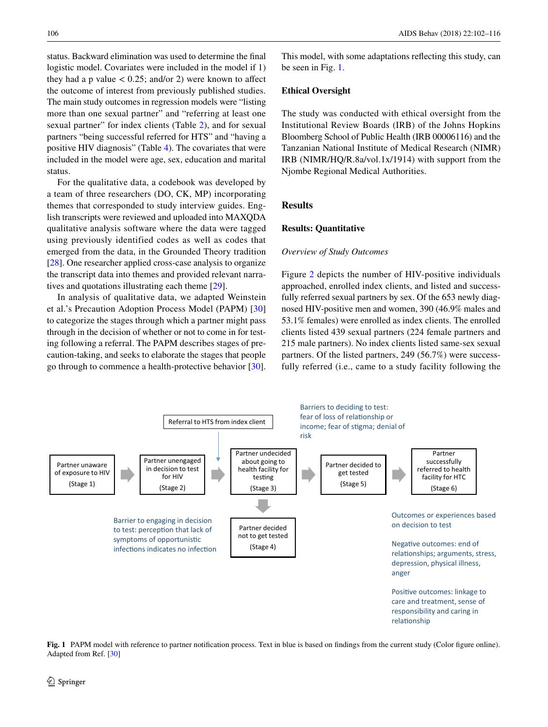status. Backward elimination was used to determine the fnal logistic model. Covariates were included in the model if 1) they had a p value  $< 0.25$ ; and/or 2) were known to affect the outcome of interest from previously published studies. The main study outcomes in regression models were "listing more than one sexual partner" and "referring at least one sexual partner" for index clients (Table [2\)](#page-7-0), and for sexual partners "being successful referred for HTS" and "having a positive HIV diagnosis" (Table [4](#page-8-0)). The covariates that were included in the model were age, sex, education and marital status.

For the qualitative data, a codebook was developed by a team of three researchers (DO, CK, MP) incorporating themes that corresponded to study interview guides. English transcripts were reviewed and uploaded into MAXQDA qualitative analysis software where the data were tagged using previously identified codes as well as codes that emerged from the data, in the Grounded Theory tradition [\[28](#page-14-25)]. One researcher applied cross-case analysis to organize the transcript data into themes and provided relevant narratives and quotations illustrating each theme [\[29\]](#page-14-26).

In analysis of qualitative data, we adapted Weinstein et al.'s Precaution Adoption Process Model (PAPM) [[30\]](#page-14-27) to categorize the stages through which a partner might pass through in the decision of whether or not to come in for testing following a referral. The PAPM describes stages of precaution-taking, and seeks to elaborate the stages that people go through to commence a health-protective behavior [\[30](#page-14-27)].

This model, with some adaptations refecting this study, can be seen in Fig. [1](#page-4-0).

### **Ethical Oversight**

The study was conducted with ethical oversight from the Institutional Review Boards (IRB) of the Johns Hopkins Bloomberg School of Public Health (IRB 00006116) and the Tanzanian National Institute of Medical Research (NIMR) IRB (NIMR/HQ/R.8a/vol.1x/1914) with support from the Njombe Regional Medical Authorities.

# **Results**

### **Results: Quantitative**

### *Overview of Study Outcomes*

Figure [2](#page-5-0) depicts the number of HIV-positive individuals approached, enrolled index clients, and listed and successfully referred sexual partners by sex. Of the 653 newly diagnosed HIV-positive men and women, 390 (46.9% males and 53.1% females) were enrolled as index clients. The enrolled clients listed 439 sexual partners (224 female partners and 215 male partners). No index clients listed same-sex sexual partners. Of the listed partners, 249 (56.7%) were successfully referred (i.e., came to a study facility following the



<span id="page-4-0"></span>**Fig. 1** PAPM model with reference to partner notifcation process. Text in blue is based on fndings from the current study (Color fgure online). Adapted from Ref. [[30](#page-14-27)]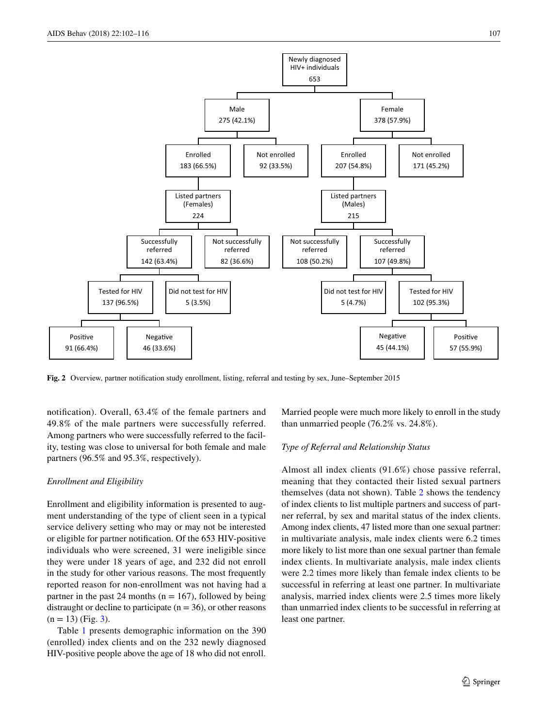

<span id="page-5-0"></span>**Fig. 2** Overview, partner notifcation study enrollment, listing, referral and testing by sex, June–September 2015

notifcation). Overall, 63.4% of the female partners and 49.8% of the male partners were successfully referred. Among partners who were successfully referred to the facility, testing was close to universal for both female and male partners (96.5% and 95.3%, respectively).

# *Enrollment and Eligibility*

Enrollment and eligibility information is presented to augment understanding of the type of client seen in a typical service delivery setting who may or may not be interested or eligible for partner notifcation. Of the 653 HIV-positive individuals who were screened, 31 were ineligible since they were under 18 years of age, and 232 did not enroll in the study for other various reasons. The most frequently reported reason for non-enrollment was not having had a partner in the past 24 months ( $n = 167$ ), followed by being distraught or decline to participate  $(n = 36)$ , or other reasons  $(n = 13)$  $(n = 13)$  (Fig. 3).

Table [1](#page-6-1) presents demographic information on the 390 (enrolled) index clients and on the 232 newly diagnosed HIV-positive people above the age of 18 who did not enroll.

Married people were much more likely to enroll in the study than unmarried people (76.2% vs. 24.8%).

# *Type of Referral and Relationship Status*

Almost all index clients (91.6%) chose passive referral, meaning that they contacted their listed sexual partners themselves (data not shown). Table [2](#page-7-0) shows the tendency of index clients to list multiple partners and success of partner referral, by sex and marital status of the index clients. Among index clients, 47 listed more than one sexual partner: in multivariate analysis, male index clients were 6.2 times more likely to list more than one sexual partner than female index clients. In multivariate analysis, male index clients were 2.2 times more likely than female index clients to be successful in referring at least one partner. In multivariate analysis, married index clients were 2.5 times more likely than unmarried index clients to be successful in referring at least one partner.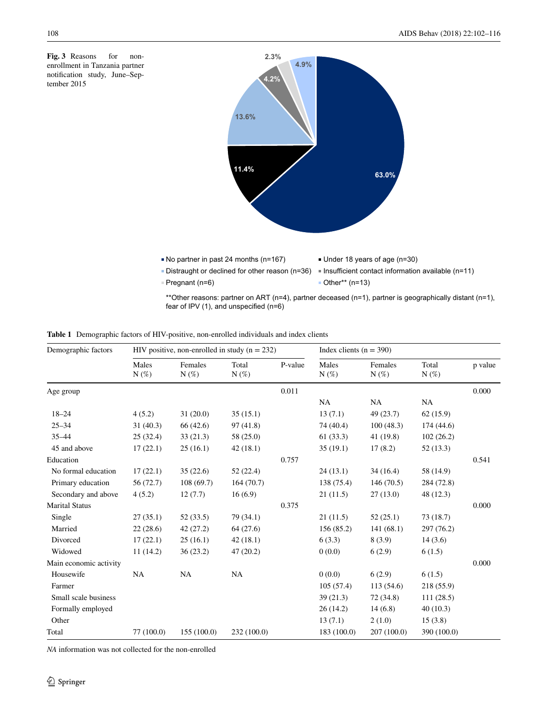<span id="page-6-0"></span>**Fig. 3** Reasons for nonenrollment in Tanzania partner notifcation study, June–September 2015



\*\*Other reasons: partner on ART (n=4), partner deceased (n=1), partner is geographically distant (n=1), fear of IPV (1), and unspecified (n=6)

<span id="page-6-1"></span>

|  | <b>Table 1</b> Demographic factors of HIV-positive, non-enrolled individuals and index clients |  |  |  |  |  |  |
|--|------------------------------------------------------------------------------------------------|--|--|--|--|--|--|
|--|------------------------------------------------------------------------------------------------|--|--|--|--|--|--|

| Demographic factors    | HIV positive, non-enrolled in study ( $n = 232$ ) |                    |                  |         | Index clients $(n = 390)$    |                    |                  |         |
|------------------------|---------------------------------------------------|--------------------|------------------|---------|------------------------------|--------------------|------------------|---------|
|                        | Males<br>$N(\%)$                                  | Females<br>$N(\%)$ | Total<br>$N(\%)$ | P-value | Males<br>$N(\%)$             | Females<br>$N(\%)$ | Total<br>$N(\%)$ | p value |
| Age group              |                                                   |                    |                  | 0.011   |                              |                    |                  | 0.000   |
|                        |                                                   |                    |                  |         | <b>NA</b>                    | <b>NA</b>          | <b>NA</b>        |         |
| $18 - 24$              | 4(5.2)                                            | 31(20.0)           | 35(15.1)         |         | 13(7.1)                      | 49 (23.7)          | 62(15.9)         |         |
| $25 - 34$              | 31(40.3)                                          | 66 (42.6)          | 97(41.8)         |         | 74 (40.4)                    | 100(48.3)          | 174 (44.6)       |         |
| $35 - 44$              | 25(32.4)                                          | 33(21.3)           | 58 (25.0)        |         | 61(33.3)                     | 41(19.8)           | 102(26.2)        |         |
| 45 and above           | 17(22.1)                                          | 25(16.1)           | 42(18.1)         |         | 35(19.1)                     | 17(8.2)            | 52(13.3)         |         |
| Education              |                                                   |                    |                  | 0.757   |                              |                    |                  | 0.541   |
| No formal education    | 17(22.1)                                          | 35(22.6)           | 52(22.4)         |         | 24(13.1)                     | 34(16.4)           | 58 (14.9)        |         |
| Primary education      | 56 (72.7)                                         | 108(69.7)          | 164(70.7)        |         | 138 (75.4)                   | 146(70.5)          | 284 (72.8)       |         |
| Secondary and above    | 4(5.2)                                            | 12(7.7)            | 16(6.9)          |         | 21(11.5)                     | 27(13.0)           | 48 (12.3)        |         |
| <b>Marital Status</b>  |                                                   |                    |                  | 0.375   |                              |                    |                  | 0.000   |
| Single                 | 27(35.1)                                          | 52(33.5)           | 79(34.1)         |         | 21(11.5)                     | 52(25.1)           | 73(18.7)         |         |
| Married                | 22(28.6)                                          | 42 (27.2)          | 64(27.6)         |         | 156 (85.2)                   | 141(68.1)          | 297 (76.2)       |         |
| Divorced               | 17(22.1)                                          | 25(16.1)           | 42(18.1)         |         | 6(3.3)                       | 8(3.9)             | 14(3.6)          |         |
| Widowed                | 11(14.2)                                          | 36(23.2)           | 47 (20.2)        |         | 0(0.0)                       | 6(2.9)             | 6(1.5)           |         |
| Main economic activity |                                                   |                    |                  |         |                              |                    |                  | 0.000   |
| Housewife              | NA                                                | NA                 | NA               |         | 0(0.0)                       | 6(2.9)             | 6(1.5)           |         |
| Farmer                 |                                                   |                    |                  |         | 105(57.4)                    | 113 (54.6)         | 218 (55.9)       |         |
| Small scale business   |                                                   |                    |                  |         | 39 (21.3)                    | 72 (34.8)          | 111(28.5)        |         |
| Formally employed      |                                                   |                    |                  |         | 26(14.2)                     | 14(6.8)            | 40(10.3)         |         |
| Other                  |                                                   |                    |                  |         | 2(1.0)<br>13(7.1)<br>15(3.8) |                    |                  |         |
| Total                  | 77 (100.0)                                        | 155(100.0)         | 232 (100.0)      |         | 183 (100.0)                  | 207(100.0)         | 390 (100.0)      |         |

*NA* information was not collected for the non-enrolled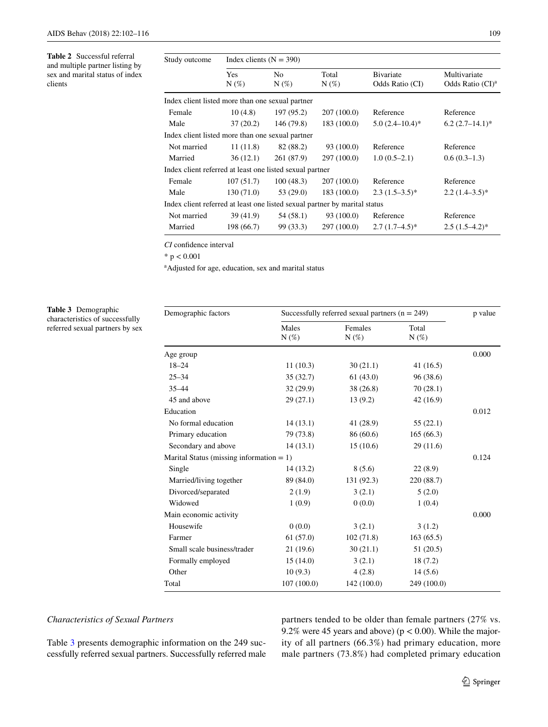<span id="page-7-0"></span>**Table 2** Successful referral and multiple partner listing by sex and marital status of index clients

| Study outcome                                                              | Index clients $(N = 390)$                        |                |                  |                                      |                                     |  |  |  |  |
|----------------------------------------------------------------------------|--------------------------------------------------|----------------|------------------|--------------------------------------|-------------------------------------|--|--|--|--|
|                                                                            | <b>Yes</b><br>$N(\%)$                            | No.<br>$N(\%)$ | Total<br>$N(\%)$ | <b>B</b> ivariate<br>Odds Ratio (CI) | Multivariate<br>Odds Ratio $(CI)^a$ |  |  |  |  |
| Index client listed more than one sexual partner                           |                                                  |                |                  |                                      |                                     |  |  |  |  |
| Female                                                                     | 10(4.8)                                          | 197(95.2)      | 207 (100.0)      | Reference                            | Reference                           |  |  |  |  |
| Male                                                                       | 37(20.2)                                         | 146 (79.8)     | 183(100.0)       | $5.0(2.4-10.4)^*$                    | $6.2(2.7-14.1)^*$                   |  |  |  |  |
|                                                                            | Index client listed more than one sexual partner |                |                  |                                      |                                     |  |  |  |  |
| Not married                                                                | 11(11.8)                                         | 82 (88.2)      | 93 (100.0)       | Reference                            | Reference                           |  |  |  |  |
| Married                                                                    | 36(12.1)                                         | 261 (87.9)     | 297 (100.0)      | $1.0(0.5-2.1)$                       | $0.6(0.3-1.3)$                      |  |  |  |  |
| Index client referred at least one listed sexual partner                   |                                                  |                |                  |                                      |                                     |  |  |  |  |
| Female                                                                     | 107(51.7)                                        | 100(48.3)      | 207(100.0)       | Reference                            | Reference                           |  |  |  |  |
| Male                                                                       | 130(71.0)                                        | 53(29.0)       | 183(100.0)       | $2.3(1.5-3.5)^{*}$                   | $2.2(1.4-3.5)^*$                    |  |  |  |  |
| Index client referred at least one listed sexual partner by marital status |                                                  |                |                  |                                      |                                     |  |  |  |  |
| Not married                                                                | 39 (41.9)                                        | 54 (58.1)      | 93 (100.0)       | Reference                            | Reference                           |  |  |  |  |
| Married                                                                    | 198 (66.7)                                       | 99 (33.3)      | 297 (100.0)      | $2.7(1.7-4.5)^*$                     | $2.5(1.5-4.2)^*$                    |  |  |  |  |

*CI* confdence interval

 $*$  p  $< 0.001$ 

a Adjusted for age, education, sex and marital status

<span id="page-7-1"></span>**Table 3** Demographic characteristics of successfully referred sexual partners by sex

| Demographic factors                         | Successfully referred sexual partners $(n = 249)$ | p value            |                  |       |  |
|---------------------------------------------|---------------------------------------------------|--------------------|------------------|-------|--|
|                                             | Males<br>$N(\%)$                                  | Females<br>$N(\%)$ | Total<br>$N(\%)$ |       |  |
| Age group                                   |                                                   |                    |                  | 0.000 |  |
| $18 - 24$                                   | 11(10.3)                                          | 30(21.1)           | 41(16.5)         |       |  |
| $25 - 34$                                   | 35(32.7)                                          | 61(43.0)           | 96 (38.6)        |       |  |
| $35 - 44$                                   | 32(29.9)                                          | 38 (26.8)          | 70(28.1)         |       |  |
| 45 and above                                | 29(27.1)                                          | 13(9.2)            | 42 (16.9)        |       |  |
| Education                                   |                                                   |                    |                  | 0.012 |  |
| No formal education                         | 14(13.1)                                          | 41 (28.9)          | 55(22.1)         |       |  |
| Primary education                           | 79 (73.8)                                         | 86 (60.6)          | 165(66.3)        |       |  |
| Secondary and above                         | 14(13.1)                                          | 15(10.6)           | 29(11.6)         |       |  |
| Marital Status (missing information $= 1$ ) |                                                   |                    |                  | 0.124 |  |
| Single                                      | 14(13.2)                                          | 8(5.6)             | 22(8.9)          |       |  |
| Married/living together                     | 89 (84.0)                                         | 131 (92.3)         | 220 (88.7)       |       |  |
| Divorced/separated                          | 2(1.9)                                            | 3(2.1)             | 5(2.0)           |       |  |
| Widowed                                     | 1(0.9)                                            | 0(0.0)             | 1(0.4)           |       |  |
| Main economic activity                      |                                                   |                    |                  | 0.000 |  |
| Housewife                                   | 0(0.0)                                            | 3(2.1)             | 3(1.2)           |       |  |
| Farmer                                      | 61(57.0)                                          | 102(71.8)          | 163(65.5)        |       |  |
| Small scale business/trader                 | 21(19.6)                                          | 30(21.1)           | 51 (20.5)        |       |  |
| Formally employed                           | 15(14.0)                                          | 3(2.1)             | 18 (7.2)         |       |  |
| Other                                       | 10(9.3)                                           | 4(2.8)             | 14(5.6)          |       |  |
| Total                                       | 107(100.0)                                        | 142 (100.0)        | 249 (100.0)      |       |  |

# *Characteristics of Sexual Partners*

Table [3](#page-7-1) presents demographic information on the 249 successfully referred sexual partners. Successfully referred male partners tended to be older than female partners (27% vs. 9.2% were 45 years and above) ( $p < 0.00$ ). While the majority of all partners (66.3%) had primary education, more male partners (73.8%) had completed primary education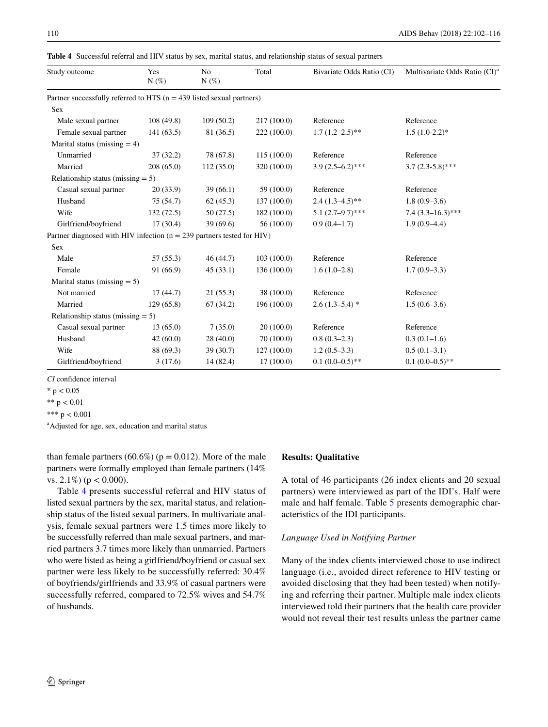| Study outcome                                                             | Yes<br>$N(\%)$ | No<br>$N(\%)$ | Total       | Bivariate Odds Ratio (CI) | Multivariate Odds Ratio (CI) <sup>2</sup> |
|---------------------------------------------------------------------------|----------------|---------------|-------------|---------------------------|-------------------------------------------|
| Partner successfully referred to HTS $(n = 439$ listed sexual partners)   |                |               |             |                           |                                           |
| <b>Sex</b>                                                                |                |               |             |                           |                                           |
| Male sexual partner                                                       | 108(49.8)      | 109(50.2)     | 217 (100.0) | Reference                 | Reference                                 |
| Female sexual partner                                                     | 141(63.5)      | 81 (36.5)     | 222 (100.0) | $1.7(1.2-2.5)$ **         | $1.5(1.0-2.2)*$                           |
| Marital status (missing $=$ 4)                                            |                |               |             |                           |                                           |
| Unmarried                                                                 | 37(32.2)       | 78 (67.8)     | 115(100.0)  | Reference                 | Reference                                 |
| Married                                                                   | 208(65.0)      | 112(35.0)     | 320 (100.0) | $3.9(2.5-6.2)$ ***        | $3.7(2.3-5.8)$ ***                        |
| Relationship status (missing $= 5$ )                                      |                |               |             |                           |                                           |
| Casual sexual partner                                                     | 20(33.9)       | 39(66.1)      | 59 (100.0)  | Reference                 | Reference                                 |
| Husband                                                                   | 75(54.7)       | 62(45.3)      | 137(100.0)  | $2.4(1.3-4.5)$ **         | $1.8(0.9-3.6)$                            |
| Wife                                                                      | 132(72.5)      | 50(27.5)      | 182(100.0)  | $5.1(2.7-9.7)$ ***        | $7.4(3.3-16.3)$ ***                       |
| Girlfriend/boyfriend                                                      | 17(30.4)       | 39(69.6)      | 56(100.0)   | $0.9(0.4-1.7)$            | $1.9(0.9-4.4)$                            |
| Partner diagnosed with HIV infection ( $n = 239$ partners tested for HIV) |                |               |             |                           |                                           |
| Sex                                                                       |                |               |             |                           |                                           |
| Male                                                                      | 57(55.3)       | 46 (44.7)     | 103(100.0)  | Reference                 | Reference                                 |
| Female                                                                    | 91 (66.9)      | 45(33.1)      | 136(100.0)  | $1.6(1.0-2.8)$            | $1.7(0.9-3.3)$                            |
| Marital status (missing $= 5$ )                                           |                |               |             |                           |                                           |
| Not married                                                               | 17(44.7)       | 21(55.3)      | 38 (100.0)  | Reference                 | Reference                                 |
| Married                                                                   | 129(65.8)      | 67(34.2)      | 196 (100.0) | $2.6(1.3-5.4)$ *          | $1.5(0.6-3.6)$                            |
| Relationship status (missing $= 5$ )                                      |                |               |             |                           |                                           |
| Casual sexual partner                                                     | 13(65.0)       | 7(35.0)       | 20(100.0)   | Reference                 | Reference                                 |
| Husband                                                                   | 42(60.0)       | 28(40.0)      | 70 (100.0)  | $0.8(0.3-2.3)$            | $0.3(0.1-1.6)$                            |
| Wife                                                                      | 88 (69.3)      | 39(30.7)      | 127(100.0)  | $1.2(0.5-3.3)$            | $0.5(0.1-3.1)$                            |
| Girlfriend/boyfriend                                                      | 3(17.6)        | 14 (82.4)     | 17(100.0)   | $0.1(0.0-0.5)$ **         | $0.1(0.0-0.5)$ **                         |

<span id="page-8-0"></span>**Table 4** Successful referral and HIV status by sex, marital status, and relationship status of sexual partners

*CI* confdence interval

**\*** p < 0.05

\*\*  $p < 0.01$ 

\*\*\*  $p < 0.001$ 

a Adjusted for age, sex, education and marital status

than female partners (60.6%) ( $p = 0.012$ ). More of the male partners were formally employed than female partners (14% vs.  $2.1\%$ ) (p < 0.000).

Table [4](#page-8-0) presents successful referral and HIV status of listed sexual partners by the sex, marital status, and relationship status of the listed sexual partners. In multivariate analysis, female sexual partners were 1.5 times more likely to be successfully referred than male sexual partners, and married partners 3.7 times more likely than unmarried. Partners who were listed as being a girlfriend/boyfriend or casual sex partner were less likely to be successfully referred: 30.4% of boyfriends/girlfriends and 33.9% of casual partners were successfully referred, compared to 72.5% wives and 54.7% of husbands.

# **Results: Qualitative**

A total of 46 participants (26 index clients and 20 sexual partners) were interviewed as part of the IDI's. Half were male and half female. Table [5](#page-9-0) presents demographic characteristics of the IDI participants.

# *Language Used in Notifying Partner*

Many of the index clients interviewed chose to use indirect language (i.e., avoided direct reference to HIV testing or avoided disclosing that they had been tested) when notifying and referring their partner. Multiple male index clients interviewed told their partners that the health care provider would not reveal their test results unless the partner came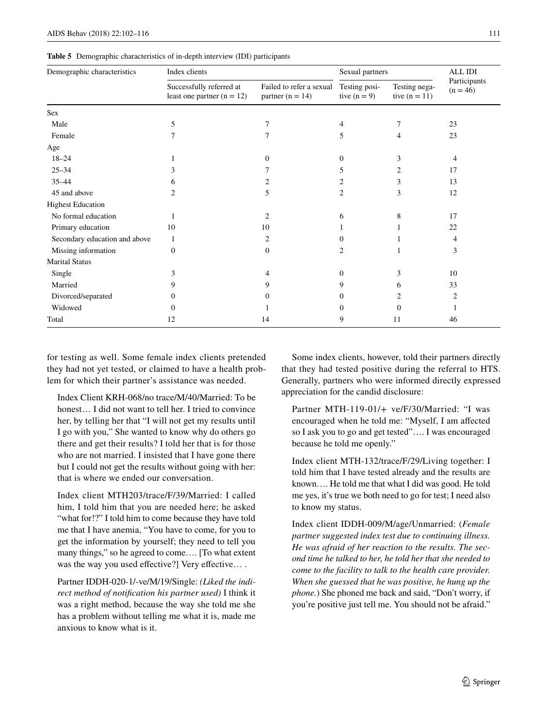<span id="page-9-0"></span>**Table 5** Demographic characteristics of in-depth interview (IDI) participants

| Demographic characteristics   | Index clients                                            | Sexual partners                                  |                                 | ALL IDI                          |                            |  |
|-------------------------------|----------------------------------------------------------|--------------------------------------------------|---------------------------------|----------------------------------|----------------------------|--|
|                               | Successfully referred at<br>least one partner $(n = 12)$ | Failed to refer a sexual<br>partner ( $n = 14$ ) | Testing posi-<br>tive $(n = 9)$ | Testing nega-<br>tive $(n = 11)$ | Participants<br>$(n = 46)$ |  |
| Sex                           |                                                          |                                                  |                                 |                                  |                            |  |
| Male                          | 5                                                        | 7                                                | 4                               | 7                                | 23                         |  |
| Female                        | 7                                                        | 7                                                | 5                               | 4                                | 23                         |  |
| Age                           |                                                          |                                                  |                                 |                                  |                            |  |
| $18 - 24$                     |                                                          | $\Omega$                                         | $\Omega$                        | 3                                | 4                          |  |
| $25 - 34$                     | 3                                                        |                                                  | 5                               | 2                                | 17                         |  |
| $35 - 44$                     | 6                                                        | 2                                                | 2                               | 3                                | 13                         |  |
| 45 and above                  | $\overline{c}$                                           | 5                                                | 2                               | 3                                | 12                         |  |
| <b>Highest Education</b>      |                                                          |                                                  |                                 |                                  |                            |  |
| No formal education           |                                                          | 2                                                | 6                               | 8                                | 17                         |  |
| Primary education             | 10                                                       | 10                                               |                                 |                                  | 22                         |  |
| Secondary education and above | 1                                                        | 2                                                |                                 |                                  | 4                          |  |
| Missing information           | $\Omega$                                                 | $\mathbf{0}$                                     | 2                               |                                  | 3                          |  |
| <b>Marital Status</b>         |                                                          |                                                  |                                 |                                  |                            |  |
| Single                        | 3                                                        | 4                                                | $\Omega$                        | 3                                | 10                         |  |
| Married                       | 9                                                        | 9                                                | 9                               | 6                                | 33                         |  |
| Divorced/separated            | 0                                                        | 0                                                | 0                               | 2                                | 2                          |  |
| Widowed                       | 0                                                        |                                                  | $^{(1)}$                        | 0                                |                            |  |
| Total                         | 12                                                       | 14                                               | 9                               | 11                               | 46                         |  |

for testing as well. Some female index clients pretended they had not yet tested, or claimed to have a health problem for which their partner's assistance was needed.

Index Client KRH-068/no trace/M/40/Married: To be honest... I did not want to tell her. I tried to convince her, by telling her that "I will not get my results until I go with you," She wanted to know why do others go there and get their results? I told her that is for those who are not married. I insisted that I have gone there but I could not get the results without going with her: that is where we ended our conversation.

Index client MTH203/trace/F/39/Married: I called him, I told him that you are needed here; he asked "what for!?" I told him to come because they have told me that I have anemia, "You have to come, for you to get the information by yourself; they need to tell you many things," so he agreed to come…. [To what extent was the way you used effective?] Very effective....

Partner IDDH-020-1/-ve/M/19/Single: *(Liked the indirect method of notifcation his partner used)* I think it was a right method, because the way she told me she has a problem without telling me what it is, made me anxious to know what is it.

Some index clients, however, told their partners directly that they had tested positive during the referral to HTS. Generally, partners who were informed directly expressed appreciation for the candid disclosure:

Partner MTH-119-01/+ ve/F/30/Married: "I was encouraged when he told me: "Myself, I am afected so I ask you to go and get tested"…. I was encouraged because he told me openly."

Index client MTH-132/trace/F/29/Living together: I told him that I have tested already and the results are known…. He told me that what I did was good. He told me yes, it's true we both need to go for test; I need also to know my status.

Index client IDDH-009/M/age/Unmarried: (*Female partner suggested index test due to continuing illness. He was afraid of her reaction to the results. The second time he talked to her, he told her that she needed to come to the facility to talk to the health care provider. When she guessed that he was positive, he hung up the phone.*) She phoned me back and said, "Don't worry, if you're positive just tell me. You should not be afraid."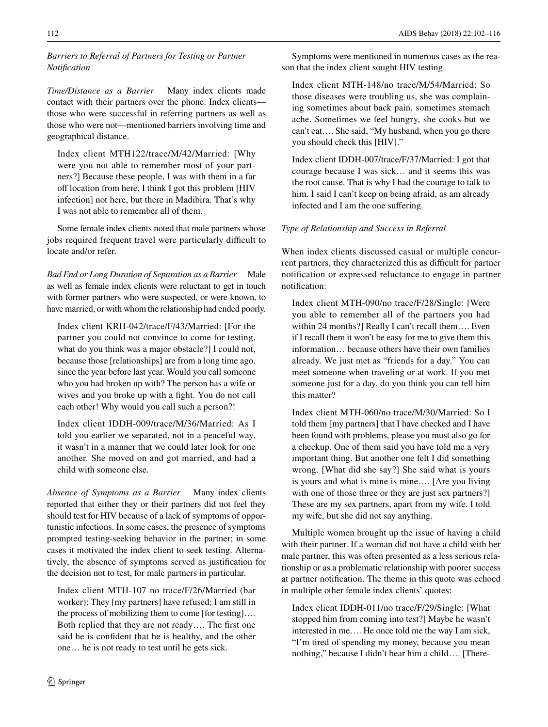# *Barriers to Referral of Partners for Testing or Partner Notifcation*

*Time/Distance as a Barrier* Many index clients made contact with their partners over the phone. Index clients those who were successful in referring partners as well as those who were not—mentioned barriers involving time and geographical distance.

Index client MTH122/trace/M/42/Married: [Why were you not able to remember most of your partners?] Because these people, I was with them in a far off location from here, I think I got this problem [HIV infection] not here, but there in Madibira. That's why I was not able to remember all of them.

Some female index clients noted that male partners whose jobs required frequent travel were particularly difficult to locate and/or refer.

*Bad End or Long Duration of Separation as a Barrier* Male as well as female index clients were reluctant to get in touch with former partners who were suspected, or were known, to have married, or with whom the relationship had ended poorly.

Index client KRH-042/trace/F/43/Married: [For the partner you could not convince to come for testing, what do you think was a major obstacle?] I could not, because those [relationships] are from a long time ago, since the year before last year. Would you call someone who you had broken up with? The person has a wife or wives and you broke up with a fght. You do not call each other! Why would you call such a person?!

Index client IDDH-009/trace/M/36/Married: As I told you earlier we separated, not in a peaceful way, it wasn't in a manner that we could later look for one another. She moved on and got married, and had a child with someone else.

*Absence of Symptoms as a Barrier* Many index clients reported that either they or their partners did not feel they should test for HIV because of a lack of symptoms of opportunistic infections. In some cases, the presence of symptoms prompted testing-seeking behavior in the partner; in some cases it motivated the index client to seek testing. Alternatively, the absence of symptoms served as justifcation for the decision not to test, for male partners in particular.

Index client MTH-107 no trace/F/26/Married (bar worker): They [my partners] have refused; I am still in the process of mobilizing them to come [for testing]…. Both replied that they are not ready…. The frst one said he is confdent that he is healthy, and the other one… he is not ready to test until he gets sick.

Symptoms were mentioned in numerous cases as the reason that the index client sought HIV testing.

Index client MTH-148/no trace/M/54/Married: So those diseases were troubling us, she was complaining sometimes about back pain, sometimes stomach ache. Sometimes we feel hungry, she cooks but we can't eat…. She said, "My husband, when you go there you should check this [HIV]."

Index client IDDH-007/trace/F/37/Married: I got that courage because I was sick… and it seems this was the root cause. That is why I had the courage to talk to him. I said I can't keep on being afraid, as am already infected and I am the one sufering.

# *Type of Relationship and Success in Referral*

When index clients discussed casual or multiple concurrent partners, they characterized this as difficult for partner notifcation or expressed reluctance to engage in partner notifcation:

Index client MTH-090/no trace/F/28/Single: [Were you able to remember all of the partners you had within 24 months?] Really I can't recall them.... Even if I recall them it won't be easy for me to give them this information… because others have their own families already. We just met as "friends for a day." You can meet someone when traveling or at work. If you met someone just for a day, do you think you can tell him this matter?

Index client MTH-060/no trace/M/30/Married: So I told them [my partners] that I have checked and I have been found with problems, please you must also go for a checkup. One of them said you have told me a very important thing. But another one felt I did something wrong. [What did she say?] She said what is yours is yours and what is mine is mine…. [Are you living with one of those three or they are just sex partners?] These are my sex partners, apart from my wife. I told my wife, but she did not say anything.

Multiple women brought up the issue of having a child with their partner. If a woman did not have a child with her male partner, this was often presented as a less serious relationship or as a problematic relationship with poorer success at partner notifcation. The theme in this quote was echoed in multiple other female index clients' quotes:

Index client IDDH-011/no trace/F/29/Single: [What stopped him from coming into test?] Maybe he wasn't interested in me…. He once told me the way I am sick, "I'm tired of spending my money, because you mean nothing," because I didn't bear him a child…. [There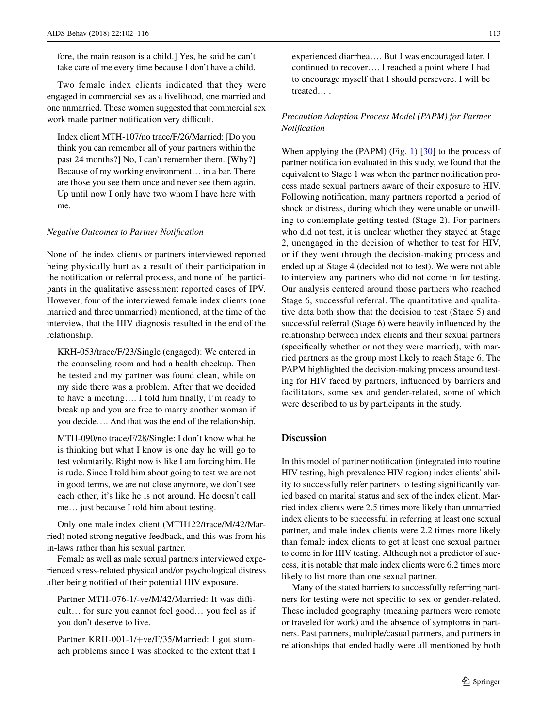fore, the main reason is a child.] Yes, he said he can't take care of me every time because I don't have a child.

Two female index clients indicated that they were engaged in commercial sex as a livelihood, one married and one unmarried. These women suggested that commercial sex work made partner notification very difficult.

Index client MTH-107/no trace/F/26/Married: [Do you think you can remember all of your partners within the past 24 months?] No, I can't remember them. [Why?] Because of my working environment… in a bar. There are those you see them once and never see them again. Up until now I only have two whom I have here with me.

### *Negative Outcomes to Partner Notifcation*

None of the index clients or partners interviewed reported being physically hurt as a result of their participation in the notifcation or referral process, and none of the participants in the qualitative assessment reported cases of IPV. However, four of the interviewed female index clients (one married and three unmarried) mentioned, at the time of the interview, that the HIV diagnosis resulted in the end of the relationship.

KRH-053/trace/F/23/Single (engaged): We entered in the counseling room and had a health checkup. Then he tested and my partner was found clean, while on my side there was a problem. After that we decided to have a meeting…. I told him fnally, I'm ready to break up and you are free to marry another woman if you decide…. And that was the end of the relationship.

MTH-090/no trace/F/28/Single: I don't know what he is thinking but what I know is one day he will go to test voluntarily. Right now is like I am forcing him. He is rude. Since I told him about going to test we are not in good terms, we are not close anymore, we don't see each other, it's like he is not around. He doesn't call me… just because I told him about testing.

Only one male index client (MTH122/trace/M/42/Married) noted strong negative feedback, and this was from his in-laws rather than his sexual partner.

Female as well as male sexual partners interviewed experienced stress-related physical and/or psychological distress after being notifed of their potential HIV exposure.

Partner MTH-076-1/-ve/M/42/Married: It was difficult… for sure you cannot feel good… you feel as if you don't deserve to live.

Partner KRH-001-1/+ve/F/35/Married: I got stomach problems since I was shocked to the extent that I experienced diarrhea…. But I was encouraged later. I continued to recover…. I reached a point where I had to encourage myself that I should persevere. I will be treated… .

# *Precaution Adoption Process Model (PAPM) for Partner Notifcation*

When applying the (PAPM) (Fig. [1\)](#page-4-0) [\[30](#page-14-27)] to the process of partner notifcation evaluated in this study, we found that the equivalent to Stage 1 was when the partner notifcation process made sexual partners aware of their exposure to HIV. Following notifcation, many partners reported a period of shock or distress, during which they were unable or unwilling to contemplate getting tested (Stage 2). For partners who did not test, it is unclear whether they stayed at Stage 2, unengaged in the decision of whether to test for HIV, or if they went through the decision-making process and ended up at Stage 4 (decided not to test). We were not able to interview any partners who did not come in for testing. Our analysis centered around those partners who reached Stage 6, successful referral. The quantitative and qualitative data both show that the decision to test (Stage 5) and successful referral (Stage 6) were heavily infuenced by the relationship between index clients and their sexual partners (specifcally whether or not they were married), with married partners as the group most likely to reach Stage 6. The PAPM highlighted the decision-making process around testing for HIV faced by partners, infuenced by barriers and facilitators, some sex and gender-related, some of which were described to us by participants in the study.

# **Discussion**

In this model of partner notifcation (integrated into routine HIV testing, high prevalence HIV region) index clients' ability to successfully refer partners to testing signifcantly varied based on marital status and sex of the index client. Married index clients were 2.5 times more likely than unmarried index clients to be successful in referring at least one sexual partner, and male index clients were 2.2 times more likely than female index clients to get at least one sexual partner to come in for HIV testing. Although not a predictor of success, it is notable that male index clients were 6.2 times more likely to list more than one sexual partner.

Many of the stated barriers to successfully referring partners for testing were not specifc to sex or gender-related. These included geography (meaning partners were remote or traveled for work) and the absence of symptoms in partners. Past partners, multiple/casual partners, and partners in relationships that ended badly were all mentioned by both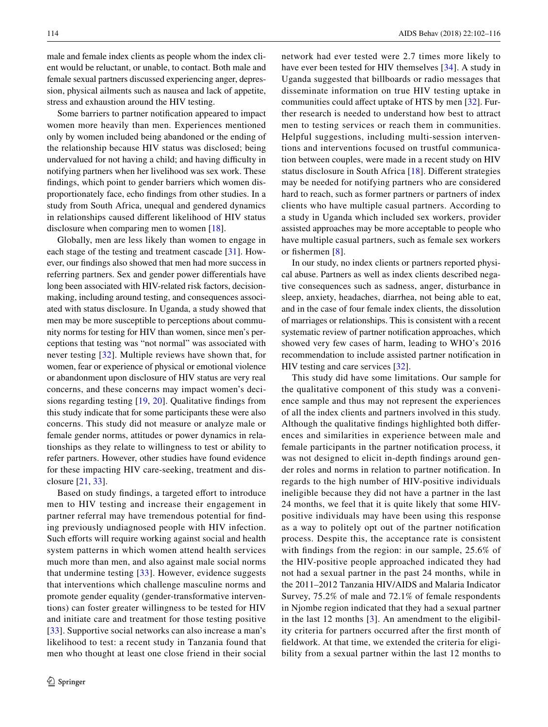male and female index clients as people whom the index client would be reluctant, or unable, to contact. Both male and female sexual partners discussed experiencing anger, depression, physical ailments such as nausea and lack of appetite, stress and exhaustion around the HIV testing.

Some barriers to partner notifcation appeared to impact women more heavily than men. Experiences mentioned only by women included being abandoned or the ending of the relationship because HIV status was disclosed; being undervalued for not having a child; and having difficulty in notifying partners when her livelihood was sex work. These fndings, which point to gender barriers which women disproportionately face, echo fndings from other studies. In a study from South Africa, unequal and gendered dynamics in relationships caused diferent likelihood of HIV status disclosure when comparing men to women [[18\]](#page-14-16).

Globally, men are less likely than women to engage in each stage of the testing and treatment cascade [[31\]](#page-14-28). However, our fndings also showed that men had more success in referring partners. Sex and gender power diferentials have long been associated with HIV-related risk factors, decisionmaking, including around testing, and consequences associated with status disclosure. In Uganda, a study showed that men may be more susceptible to perceptions about community norms for testing for HIV than women, since men's perceptions that testing was "not normal" was associated with never testing [[32](#page-14-29)]. Multiple reviews have shown that, for women, fear or experience of physical or emotional violence or abandonment upon disclosure of HIV status are very real concerns, and these concerns may impact women's decisions regarding testing [[19,](#page-14-30) [20](#page-14-17)]. Qualitative fndings from this study indicate that for some participants these were also concerns. This study did not measure or analyze male or female gender norms, attitudes or power dynamics in relationships as they relate to willingness to test or ability to refer partners. However, other studies have found evidence for these impacting HIV care-seeking, treatment and disclosure [[21](#page-14-18), [33](#page-14-31)].

Based on study findings, a targeted effort to introduce men to HIV testing and increase their engagement in partner referral may have tremendous potential for fnding previously undiagnosed people with HIV infection. Such efforts will require working against social and health system patterns in which women attend health services much more than men, and also against male social norms that undermine testing [[33](#page-14-31)]. However, evidence suggests that interventions which challenge masculine norms and promote gender equality (gender-transformative interventions) can foster greater willingness to be tested for HIV and initiate care and treatment for those testing positive [\[33\]](#page-14-31). Supportive social networks can also increase a man's likelihood to test: a recent study in Tanzania found that men who thought at least one close friend in their social network had ever tested were 2.7 times more likely to have ever been tested for HIV themselves [[34](#page-14-32)]. A study in Uganda suggested that billboards or radio messages that disseminate information on true HIV testing uptake in communities could affect uptake of HTS by men [[32\]](#page-14-29). Further research is needed to understand how best to attract men to testing services or reach them in communities. Helpful suggestions, including multi-session interventions and interventions focused on trustful communication between couples, were made in a recent study on HIV status disclosure in South Africa [[18\]](#page-14-16). Diferent strategies may be needed for notifying partners who are considered hard to reach, such as former partners or partners of index clients who have multiple casual partners. According to a study in Uganda which included sex workers, provider assisted approaches may be more acceptable to people who have multiple casual partners, such as female sex workers or fishermen [[8\]](#page-14-7).

In our study, no index clients or partners reported physical abuse. Partners as well as index clients described negative consequences such as sadness, anger, disturbance in sleep, anxiety, headaches, diarrhea, not being able to eat, and in the case of four female index clients, the dissolution of marriages or relationships. This is consistent with a recent systematic review of partner notifcation approaches, which showed very few cases of harm, leading to WHO's 2016 recommendation to include assisted partner notifcation in HIV testing and care services [[32\]](#page-14-29).

This study did have some limitations. Our sample for the qualitative component of this study was a convenience sample and thus may not represent the experiences of all the index clients and partners involved in this study. Although the qualitative fndings highlighted both diferences and similarities in experience between male and female participants in the partner notifcation process, it was not designed to elicit in-depth fndings around gender roles and norms in relation to partner notifcation. In regards to the high number of HIV-positive individuals ineligible because they did not have a partner in the last 24 months, we feel that it is quite likely that some HIVpositive individuals may have been using this response as a way to politely opt out of the partner notifcation process. Despite this, the acceptance rate is consistent with fndings from the region: in our sample, 25.6% of the HIV-positive people approached indicated they had not had a sexual partner in the past 24 months, while in the 2011–2012 Tanzania HIV/AIDS and Malaria Indicator Survey, 75.2% of male and 72.1% of female respondents in Njombe region indicated that they had a sexual partner in the last 12 months  $[3]$  $[3]$  $[3]$ . An amendment to the eligibility criteria for partners occurred after the frst month of feldwork. At that time, we extended the criteria for eligibility from a sexual partner within the last 12 months to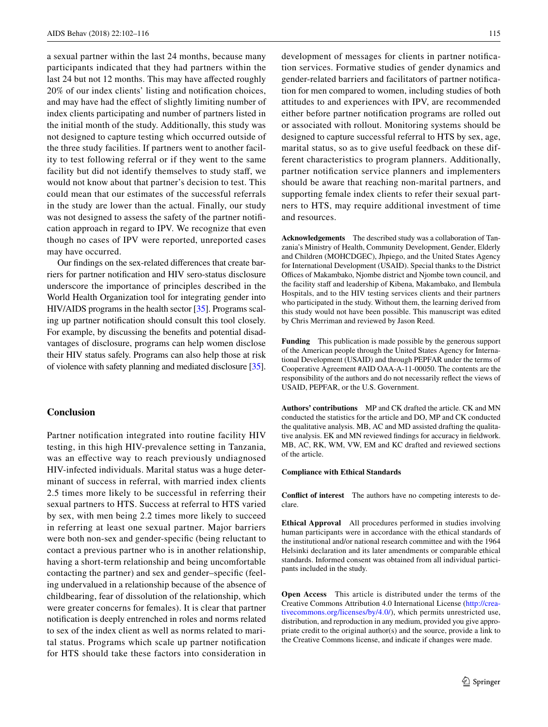a sexual partner within the last 24 months, because many participants indicated that they had partners within the last 24 but not 12 months. This may have afected roughly 20% of our index clients' listing and notifcation choices, and may have had the efect of slightly limiting number of index clients participating and number of partners listed in the initial month of the study. Additionally, this study was not designed to capture testing which occurred outside of the three study facilities. If partners went to another facility to test following referral or if they went to the same facility but did not identify themselves to study staf, we would not know about that partner's decision to test. This could mean that our estimates of the successful referrals in the study are lower than the actual. Finally, our study was not designed to assess the safety of the partner notifcation approach in regard to IPV. We recognize that even though no cases of IPV were reported, unreported cases may have occurred.

Our fndings on the sex-related diferences that create barriers for partner notifcation and HIV sero-status disclosure underscore the importance of principles described in the World Health Organization tool for integrating gender into HIV/AIDS programs in the health sector [[35](#page-14-33)]. Programs scaling up partner notifcation should consult this tool closely. For example, by discussing the benefts and potential disadvantages of disclosure, programs can help women disclose their HIV status safely. Programs can also help those at risk of violence with safety planning and mediated disclosure [[35](#page-14-33)].

# **Conclusion**

Partner notifcation integrated into routine facility HIV testing, in this high HIV-prevalence setting in Tanzania, was an efective way to reach previously undiagnosed HIV-infected individuals. Marital status was a huge determinant of success in referral, with married index clients 2.5 times more likely to be successful in referring their sexual partners to HTS. Success at referral to HTS varied by sex, with men being 2.2 times more likely to succeed in referring at least one sexual partner. Major barriers were both non-sex and gender-specifc (being reluctant to contact a previous partner who is in another relationship, having a short-term relationship and being uncomfortable contacting the partner) and sex and gender–specifc (feeling undervalued in a relationship because of the absence of childbearing, fear of dissolution of the relationship, which were greater concerns for females). It is clear that partner notifcation is deeply entrenched in roles and norms related to sex of the index client as well as norms related to marital status. Programs which scale up partner notifcation for HTS should take these factors into consideration in development of messages for clients in partner notifcation services. Formative studies of gender dynamics and gender-related barriers and facilitators of partner notifcation for men compared to women, including studies of both attitudes to and experiences with IPV, are recommended either before partner notifcation programs are rolled out or associated with rollout. Monitoring systems should be designed to capture successful referral to HTS by sex, age, marital status, so as to give useful feedback on these different characteristics to program planners. Additionally, partner notifcation service planners and implementers should be aware that reaching non-marital partners, and supporting female index clients to refer their sexual partners to HTS, may require additional investment of time and resources.

**Acknowledgements** The described study was a collaboration of Tanzania's Ministry of Health, Community Development, Gender, Elderly and Children (MOHCDGEC), Jhpiego, and the United States Agency for International Development (USAID). Special thanks to the District Offices of Makambako, Njombe district and Njombe town council, and the facility staff and leadership of Kibena, Makambako, and Ilembula Hospitals, and to the HIV testing services clients and their partners who participated in the study. Without them, the learning derived from this study would not have been possible. This manuscript was edited by Chris Merriman and reviewed by Jason Reed.

**Funding** This publication is made possible by the generous support of the American people through the United States Agency for International Development (USAID) and through PEPFAR under the terms of Cooperative Agreement #AID OAA-A-11-00050. The contents are the responsibility of the authors and do not necessarily refect the views of USAID, PEPFAR, or the U.S. Government.

**Authors' contributions** MP and CK drafted the article. CK and MN conducted the statistics for the article and DO, MP and CK conducted the qualitative analysis. MB, AC and MD assisted drafting the qualitative analysis. EK and MN reviewed fndings for accuracy in feldwork. MB, AC, RK, WM, VW, EM and KC drafted and reviewed sections of the article.

### **Compliance with Ethical Standards**

**Confict of interest** The authors have no competing interests to declare.

**Ethical Approval** All procedures performed in studies involving human participants were in accordance with the ethical standards of the institutional and/or national research committee and with the 1964 Helsinki declaration and its later amendments or comparable ethical standards. Informed consent was obtained from all individual participants included in the study.

**Open Access** This article is distributed under the terms of the Creative Commons Attribution 4.0 International License ([http://crea](http://creativecommons.org/licenses/by/4.0/)[tivecommons.org/licenses/by/4.0/\)](http://creativecommons.org/licenses/by/4.0/), which permits unrestricted use, distribution, and reproduction in any medium, provided you give appropriate credit to the original author(s) and the source, provide a link to the Creative Commons license, and indicate if changes were made.